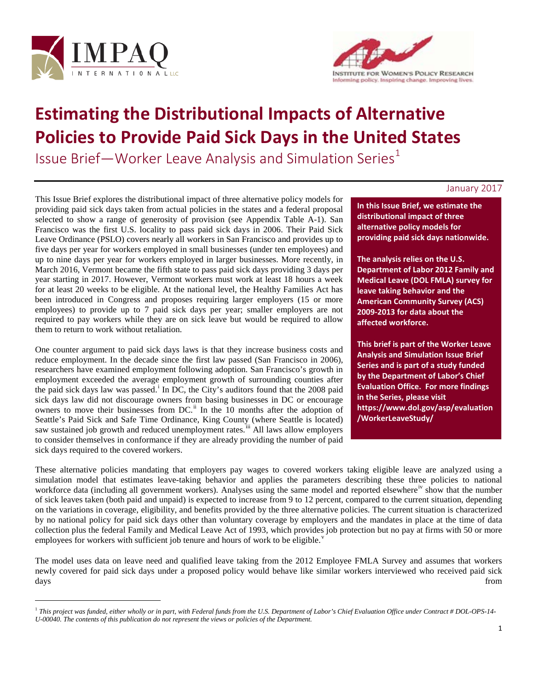

-



# **Estimating the Distributional Impacts of Alternative Policies to Provide Paid Sick Days in the United States**

Issue Brief—Worker Leave Analysis and Simulation Series $1$ 

## January 2017

This Issue Brief explores the distributional impact of three alternative policy models for providing paid sick days taken from actual policies in the states and a federal proposal selected to show a range of generosity of provision (see Appendix Table A-1). San Francisco was the first U.S. locality to pass paid sick days in 2006. Their Paid Sick Leave Ordinance (PSLO) covers nearly all workers in San Francisco and provides up to five days per year for workers employed in small businesses (under ten employees) and up to nine days per year for workers employed in larger businesses. More recently, in March 2016, Vermont became the fifth state to pass paid sick days providing 3 days per year starting in 2017. However, Vermont workers must work at least 18 hours a week for at least 20 weeks to be eligible. At the national level, the Healthy Families Act has been introduced in Congress and proposes requiring larger employers (15 or more employees) to provide up to 7 paid sick days per year; smaller employers are not required to pay workers while they are on sick leave but would be required to allow them to return to work without retaliation.

One counter argument to paid sick days laws is that they increase business costs and reduce employment. In the decade since the first law passed (San Francisco in 2006), researchers have examined employment following adoption. San Francisco's growth in employment exceeded the average employment growth of surrounding counties after the pa[i](#page-10-0)d sick days law was passed.<sup>i</sup> In DC, the City's auditors found that the 2008 paid sick days law did not discourage owners from basing businesses in DC or encourage owners to move their businesses from DC.<sup>[ii](#page-10-1)</sup> In the 10 months after the adoption of Seattle's Paid Sick and Safe Time Ordinance, King County (where Seattle is located) saw sustained job growth and reduced unemployment rates.<sup>[iii](#page-10-2)</sup> All laws allow employers to consider themselves in conformance if they are already providing the number of paid sick days required to the covered workers.

**In this Issue Brief, we estimate the distributional impact of three alternative policy models for providing paid sick days nationwide.** 

**The analysis relies on the U.S. Department of Labor 2012 Family and Medical Leave (DOL FMLA) survey for leave taking behavior and the American Community Survey (ACS) 2009-2013 for data about the affected workforce.**

**This brief is part of the Worker Leave Analysis and Simulation Issue Brief Series and is part of a study funded by the Department of Labor's Chief Evaluation Office. For more findings in the Series, please visit [https://www.dol.gov/asp/evaluation](https://www.dol.gov/asp/evaluation/WorkerLeaveStudy/) [/WorkerLeaveStudy/](https://www.dol.gov/asp/evaluation/WorkerLeaveStudy/)**

These alternative policies mandating that employers pay wages to covered workers taking eligible leave are analyzed using a simulation model that estimates leave-taking behavior and applies the parameters describing these three policies to national workforce data (including all government workers). Analyses using the same model and reported elsewhere<sup>1</sup> show that the number of sick leaves taken (both paid and unpaid) is expected to increase from 9 to 12 percent, compared to the current situation, depending on the variations in coverage, eligibility, and benefits provided by the three alternative policies. The current situation is characterized by no national policy for paid sick days other than voluntary coverage by employers and the mandates in place at the time of data collection plus the federal Family and Medical Leave Act of 1993, which provides job protection but no pay at firms with 50 or more employees for workers with sufficient job tenure and hours of work to be eligible.

The model uses data on leave need and qualified leave taking from the 2012 Employee FMLA Survey and assumes that workers newly covered for paid sick days under a proposed policy would behave like similar workers interviewed who received paid sick days from

<span id="page-0-0"></span><sup>1</sup> *This project was funded, either wholly or in part, with Federal funds from the U.S. Department of Labor's Chief Evaluation Office under Contract # DOL-OPS-14- U-00040. The contents of this publication do not represent the views or policies of the Department.*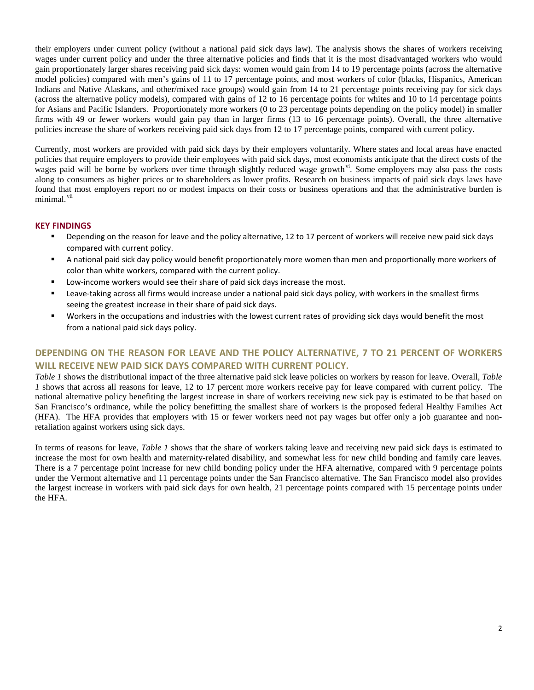their employers under current policy (without a national paid sick days law). The analysis shows the shares of workers receiving wages under current policy and under the three alternative policies and finds that it is the most disadvantaged workers who would gain proportionately larger shares receiving paid sick days: women would gain from 14 to 19 percentage points (across the alternative model policies) compared with men's gains of 11 to 17 percentage points, and most workers of color (blacks, Hispanics, American Indians and Native Alaskans, and other/mixed race groups) would gain from 14 to 21 percentage points receiving pay for sick days (across the alternative policy models), compared with gains of 12 to 16 percentage points for whites and 10 to 14 percentage points for Asians and Pacific Islanders. Proportionately more workers (0 to 23 percentage points depending on the policy model) in smaller firms with 49 or fewer workers would gain pay than in larger firms (13 to 16 percentage points). Overall, the three alternative policies increase the share of workers receiving paid sick days from 12 to 17 percentage points, compared with current policy.

Currently, most workers are provided with paid sick days by their employers voluntarily. Where states and local areas have enacted policies that require employers to provide their employees with paid sick days, most economists anticipate that the direct costs of the wages paid will be borne by workers over time through slightly reduced wage growth<sup>[vi](#page-10-5)</sup>. Some employers may also pass the costs along to consumers as higher prices or to shareholders as lower profits. Research on business impacts of paid sick days laws have found that most employers report no or modest impacts on their costs or business operations and that the administrative burden is minimal [vii](#page-10-6)

## **KEY FINDINGS**

- Depending on the reason for leave and the policy alternative, 12 to 17 percent of workers will receive new paid sick days compared with current policy.
- A national paid sick day policy would benefit proportionately more women than men and proportionally more workers of color than white workers, compared with the current policy.
- **EXECT** Low-income workers would see their share of paid sick days increase the most.
- Leave-taking across all firms would increase under a national paid sick days policy, with workers in the smallest firms seeing the greatest increase in their share of paid sick days.
- Workers in the occupations and industries with the lowest current rates of providing sick days would benefit the most from a national paid sick days policy.

# **DEPENDING ON THE REASON FOR LEAVE AND THE POLICY ALTERNATIVE, 7 TO 21 PERCENT OF WORKERS WILL RECEIVE NEW PAID SICK DAYS COMPARED WITH CURRENT POLICY.**

*Table 1* shows the distributional impact of the three alternative paid sick leave policies on workers by reason for leave. Overall, *Table 1* shows that across all reasons for leave, 12 to 17 percent more workers receive pay for leave compared with current policy. The national alternative policy benefiting the largest increase in share of workers receiving new sick pay is estimated to be that based on San Francisco's ordinance, while the policy benefitting the smallest share of workers is the proposed federal Healthy Families Act (HFA). The HFA provides that employers with 15 or fewer workers need not pay wages but offer only a job guarantee and nonretaliation against workers using sick days.

In terms of reasons for leave, *Table 1* shows that the share of workers taking leave and receiving new paid sick days is estimated to increase the most for own health and maternity-related disability, and somewhat less for new child bonding and family care leaves. There is a 7 percentage point increase for new child bonding policy under the HFA alternative, compared with 9 percentage points under the Vermont alternative and 11 percentage points under the San Francisco alternative. The San Francisco model also provides the largest increase in workers with paid sick days for own health, 21 percentage points compared with 15 percentage points under the HFA.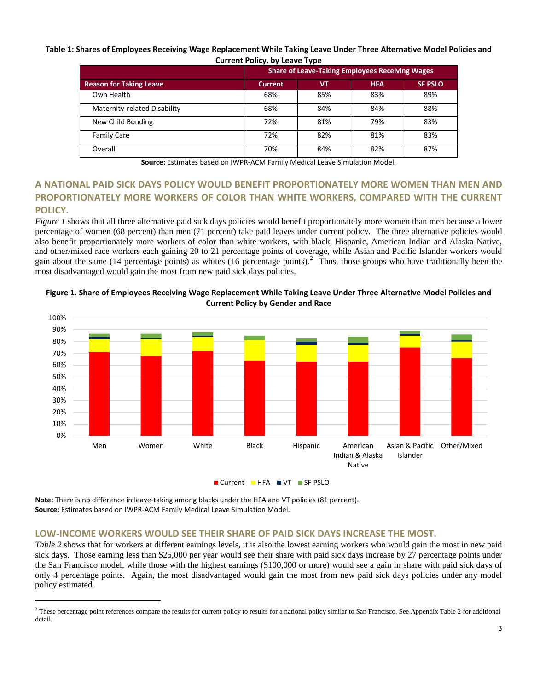#### **Table 1: Shares of Employees Receiving Wage Replacement While Taking Leave Under Three Alternative Model Policies and Current Policy, by Leave Type**

|                                | <b>Share of Leave-Taking Employees Receiving Wages</b> |     |            |                |  |  |
|--------------------------------|--------------------------------------------------------|-----|------------|----------------|--|--|
|                                |                                                        |     |            |                |  |  |
| <b>Reason for Taking Leave</b> | <b>Current</b>                                         | VT  | <b>HFA</b> | <b>SF PSLO</b> |  |  |
| Own Health                     | 68%                                                    | 85% | 83%        | 89%            |  |  |
| Maternity-related Disability   | 68%                                                    | 84% | 84%        | 88%            |  |  |
| New Child Bonding              | 72%                                                    | 81% | 79%        | 83%            |  |  |
| <b>Family Care</b>             | 72%                                                    | 82% | 81%        | 83%            |  |  |
| Overall                        | 70%                                                    | 84% | 82%        | 87%            |  |  |

**Source:** Estimates based on IWPR-ACM Family Medical Leave Simulation Model.

# **A NATIONAL PAID SICK DAYS POLICY WOULD BENEFIT PROPORTIONATELY MORE WOMEN THAN MEN AND PROPORTIONATELY MORE WORKERS OF COLOR THAN WHITE WORKERS, COMPARED WITH THE CURRENT POLICY.**

*Figure 1* shows that all three alternative paid sick days policies would benefit proportionately more women than men because a lower percentage of women (68 percent) than men (71 percent) take paid leaves under current policy. The three alternative policies would also benefit proportionately more workers of color than white workers, with black, Hispanic, American Indian and Alaska Native, and other/mixed race workers each gaining 20 to 21 percentage points of coverage, while Asian and Pacific Islander workers would gain about the same (14 percentage points) as whites (16 percentage points).<sup>[2](#page-2-0)</sup> Thus, those groups who have traditionally been the most disadvantaged would gain the most from new paid sick days policies.



Figure 1. Share of Employees Receiving Wage Replacement While Taking Leave Under Three Alternative Model Policies and **Current Policy by Gender and Race**

**Note:** There is no difference in leave-taking among blacks under the HFA and VT policies (81 percent). **Source:** Estimates based on IWPR-ACM Family Medical Leave Simulation Model.

-

## **LOW-INCOME WORKERS WOULD SEE THEIR SHARE OF PAID SICK DAYS INCREASE THE MOST.**

*Table 2* shows that for workers at different earnings levels, it is also the lowest earning workers who would gain the most in new paid sick days. Those earning less than \$25,000 per year would see their share with paid sick days increase by 27 percentage points under the San Francisco model, while those with the highest earnings (\$100,000 or more) would see a gain in share with paid sick days of only 4 percentage points. Again, the most disadvantaged would gain the most from new paid sick days policies under any model policy estimated.

<span id="page-2-0"></span> $2$  These percentage point references compare the results for current policy to results for a national policy similar to San Francisco. See Appendix Table 2 for additional detail.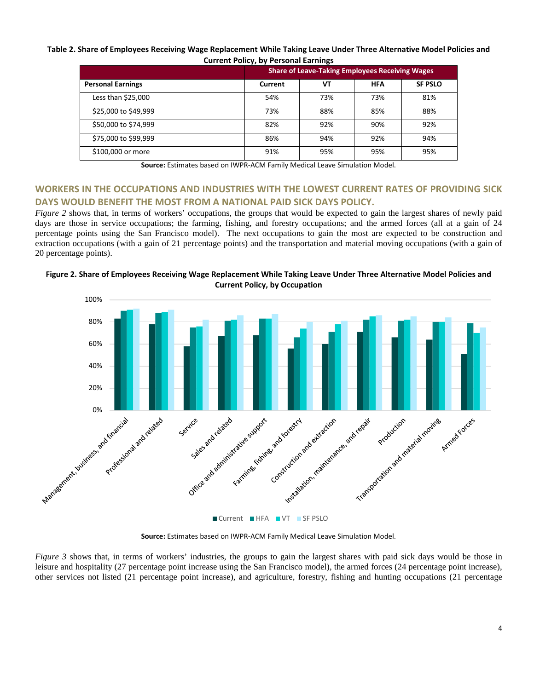#### Table 2. Share of Employees Receiving Wage Replacement While Taking Leave Under Three Alternative Model Policies and **Current Policy, by Personal Earnings**

|                          | <b>Share of Leave-Taking Employees Receiving Wages</b> |     |            |                |  |
|--------------------------|--------------------------------------------------------|-----|------------|----------------|--|
| <b>Personal Earnings</b> | Current                                                | VТ  | <b>HFA</b> | <b>SF PSLO</b> |  |
| Less than \$25,000       | 54%                                                    | 73% | 73%        | 81%            |  |
| \$25,000 to \$49,999     | 73%                                                    | 88% | 85%        | 88%            |  |
| \$50,000 to \$74,999     | 82%                                                    | 92% | 90%        | 92%            |  |
| \$75,000 to \$99,999     | 86%                                                    | 94% | 92%        | 94%            |  |
| \$100,000 or more        | 91%                                                    | 95% | 95%        | 95%            |  |

**Source:** Estimates based on IWPR-ACM Family Medical Leave Simulation Model.

## **WORKERS IN THE OCCUPATIONS AND INDUSTRIES WITH THE LOWEST CURRENT RATES OF PROVIDING SICK DAYS WOULD BENEFIT THE MOST FROM A NATIONAL PAID SICK DAYS POLICY.**

*Figure 2* shows that, in terms of workers' occupations, the groups that would be expected to gain the largest shares of newly paid days are those in service occupations; the farming, fishing, and forestry occupations; and the armed forces (all at a gain of 24 percentage points using the San Francisco model). The next occupations to gain the most are expected to be construction and extraction occupations (with a gain of 21 percentage points) and the transportation and material moving occupations (with a gain of 20 percentage points).



Figure 2. Share of Employees Receiving Wage Replacement While Taking Leave Under Three Alternative Model Policies and **Current Policy, by Occupation**

**Source:** Estimates based on IWPR-ACM Family Medical Leave Simulation Model.

*Figure 3* shows that, in terms of workers' industries, the groups to gain the largest shares with paid sick days would be those in leisure and hospitality (27 percentage point increase using the San Francisco model), the armed forces (24 percentage point increase), other services not listed (21 percentage point increase), and agriculture, forestry, fishing and hunting occupations (21 percentage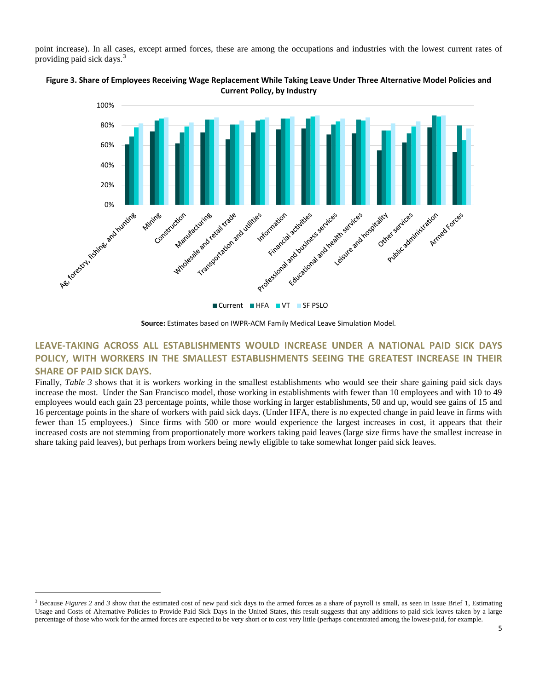point increase). In all cases, except armed forces, these are among the occupations and industries with the lowest current rates of providing paid sick days.<sup>[3](#page-4-0)</sup>



Figure 3. Share of Employees Receiving Wage Replacement While Taking Leave Under Three Alternative Model Policies and **Current Policy, by Industry**

## **LEAVE-TAKING ACROSS ALL ESTABLISHMENTS WOULD INCREASE UNDER A NATIONAL PAID SICK DAYS POLICY, WITH WORKERS IN THE SMALLEST ESTABLISHMENTS SEEING THE GREATEST INCREASE IN THEIR SHARE OF PAID SICK DAYS.**

Finally, *Table 3* shows that it is workers working in the smallest establishments who would see their share gaining paid sick days increase the most. Under the San Francisco model, those working in establishments with fewer than 10 employees and with 10 to 49 employees would each gain 23 percentage points, while those working in larger establishments, 50 and up, would see gains of 15 and 16 percentage points in the share of workers with paid sick days. (Under HFA, there is no expected change in paid leave in firms with fewer than 15 employees.) Since firms with 500 or more would experience the largest increases in cost, it appears that their increased costs are not stemming from proportionately more workers taking paid leaves (large size firms have the smallest increase in share taking paid leaves), but perhaps from workers being newly eligible to take somewhat longer paid sick leaves.

-

**Source:** Estimates based on IWPR-ACM Family Medical Leave Simulation Model.

<span id="page-4-0"></span><sup>&</sup>lt;sup>3</sup> Because *Figures* 2 and 3 show that the estimated cost of new paid sick days to the armed forces as a share of payroll is small, as seen in Issue Brief 1, Estimating Usage and Costs of Alternative Policies to Provide Paid Sick Days in the United States, this result suggests that any additions to paid sick leaves taken by a large percentage of those who work for the armed forces are expected to be very short or to cost very little (perhaps concentrated among the lowest-paid, for example.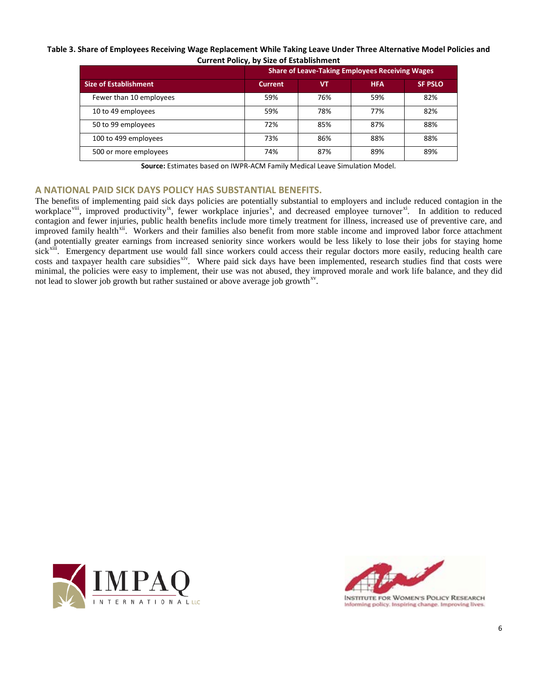## Table 3. Share of Employees Receiving Wage Replacement While Taking Leave Under Three Alternative Model Policies and **Current Policy, by Size of Establishment**

|                              |                | <b>Share of Leave-Taking Employees Receiving Wages</b> |            |                |  |  |
|------------------------------|----------------|--------------------------------------------------------|------------|----------------|--|--|
| <b>Size of Establishment</b> | <b>Current</b> | VT                                                     | <b>HFA</b> | <b>SF PSLO</b> |  |  |
| Fewer than 10 employees      | 59%            | 76%                                                    | 59%        | 82%            |  |  |
| 10 to 49 employees           | 59%            | 78%                                                    | 77%        | 82%            |  |  |
| 50 to 99 employees           | 72%            | 85%                                                    | 87%        | 88%            |  |  |
| 100 to 499 employees         | 73%            | 86%                                                    | 88%        | 88%            |  |  |
| 500 or more employees        | 74%            | 87%                                                    | 89%        | 89%            |  |  |

**Source:** Estimates based on IWPR-ACM Family Medical Leave Simulation Model.

## **A NATIONAL PAID SICK DAYS POLICY HAS SUBSTANTIAL BENEFITS.**

The benefits of implementing paid sick days policies are potentially substantial to employers and include reduced contagion in the workplace<sup>viii</sup>, improved productivity<sup>[ix](#page-10-8)</sup>, fewer workplace injuries<sup>[x](#page-10-9)</sup>, and decreased employee turnover<sup>[xi](#page-10-10)</sup>. In addition to reduced contagion and fewer injuries, public health benefits include more timely treatment for illness, increased use of preventive care, and improved family health<sup>xii</sup>. Workers and their families also benefit from more stable income and improved labor force attachment (and potentially greater earnings from increased seniority since workers would be less likely to lose their jobs for staying home sick<sup>xiii</sup>. Emergency department use would fall since workers could access their regular doctors more easily, reducing health care costs and taxpayer health care subsidies<sup>xiv</sup>. Where paid sick days have been implemented, research studies find that costs were minimal, the policies were easy to implement, their use was not abused, they improved morale and work life balance, and they did not lead to slower job growth but rather sustained or above average job growth<sup>xv</sup>.





Informing policy. Inspiring change. Improving lives.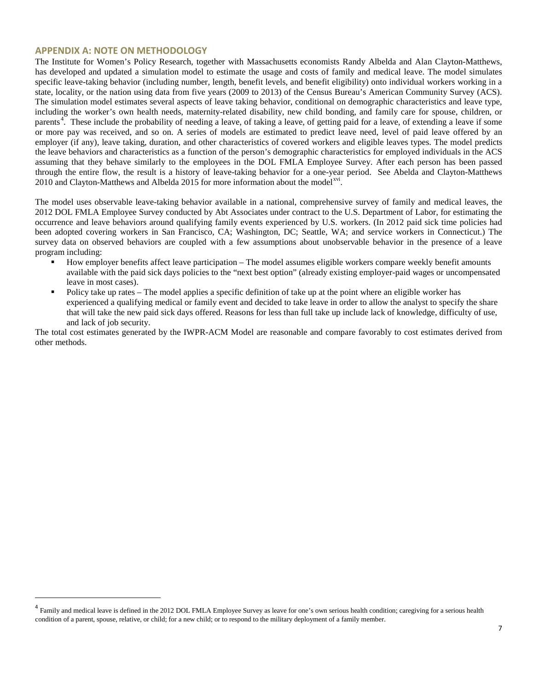## **APPENDIX A: NOTE ON METHODOLOGY**

-

The Institute for Women's Policy Research, together with Massachusetts economists Randy Albelda and Alan Clayton-Matthews, has developed and updated a simulation model to estimate the usage and costs of family and medical leave. The model simulates specific leave-taking behavior (including number, length, benefit levels, and benefit eligibility) onto individual workers working in a state, locality, or the nation using data from five years (2009 to 2013) of the Census Bureau's American Community Survey (ACS). The simulation model estimates several aspects of leave taking behavior, conditional on demographic characteristics and leave type, including the worker's own health needs, maternity-related disability, new child bonding, and family care for spouse, children, or parents<sup>[4](#page-6-0)</sup>. These include the probability of needing a leave, of taking a leave, of getting paid for a leave, of extending a leave if some or more pay was received, and so on. A series of models are estimated to predict leave need, level of paid leave offered by an employer (if any), leave taking, duration, and other characteristics of covered workers and eligible leaves types. The model predicts the leave behaviors and characteristics as a function of the person's demographic characteristics for employed individuals in the ACS assuming that they behave similarly to the employees in the DOL FMLA Employee Survey. After each person has been passed through the entire flow, the result is a history of leave-taking behavior for a one-year period. See Abelda and Clayton-Matthews 2010 and Clayton-Matthews and Albelda 2015 for more information about the model<sup>[xvi](#page-10-15)</sup>.

The model uses observable leave-taking behavior available in a national, comprehensive survey of family and medical leaves, the 2012 DOL FMLA Employee Survey conducted by Abt Associates under contract to the U.S. Department of Labor, for estimating the occurrence and leave behaviors around qualifying family events experienced by U.S. workers. (In 2012 paid sick time policies had been adopted covering workers in San Francisco, CA; Washington, DC; Seattle, WA; and service workers in Connecticut.) The survey data on observed behaviors are coupled with a few assumptions about unobservable behavior in the presence of a leave program including:

- How employer benefits affect leave participation The model assumes eligible workers compare weekly benefit amounts available with the paid sick days policies to the "next best option" (already existing employer-paid wages or uncompensated leave in most cases).
- Policy take up rates The model applies a specific definition of take up at the point where an eligible worker has experienced a qualifying medical or family event and decided to take leave in order to allow the analyst to specify the share that will take the new paid sick days offered. Reasons for less than full take up include lack of knowledge, difficulty of use, and lack of job security.

The total cost estimates generated by the IWPR-ACM Model are reasonable and compare favorably to cost estimates derived from other methods.

<span id="page-6-0"></span><sup>&</sup>lt;sup>4</sup> Family and medical leave is defined in the 2012 DOL FMLA Employee Survey as leave for one's own serious health condition; caregiving for a serious health condition of a parent, spouse, relative, or child; for a new child; or to respond to the military deployment of a family member.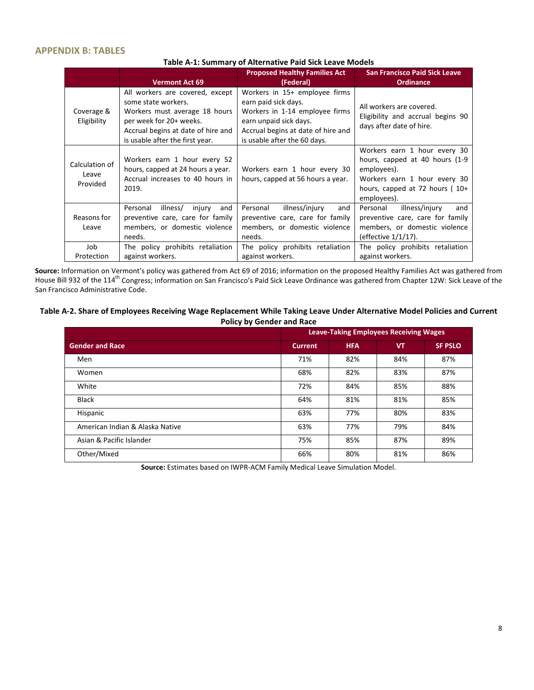## **APPENDIX B: TABLES**

|                                     | <b>Vermont Act 69</b>                                                                                                                                                                       | <b>Proposed Healthy Families Act</b><br>(Federal)                                                                                                                                       | <b>San Francisco Paid Sick Leave</b><br><b>Ordinance</b>                                                                                                           |
|-------------------------------------|---------------------------------------------------------------------------------------------------------------------------------------------------------------------------------------------|-----------------------------------------------------------------------------------------------------------------------------------------------------------------------------------------|--------------------------------------------------------------------------------------------------------------------------------------------------------------------|
| Coverage &<br>Eligibility           | All workers are covered, except<br>some state workers.<br>Workers must average 18 hours<br>per week for 20+ weeks.<br>Accrual begins at date of hire and<br>is usable after the first year. | Workers in 15+ employee firms<br>earn paid sick days.<br>Workers in 1-14 employee firms<br>earn unpaid sick days.<br>Accrual begins at date of hire and<br>is usable after the 60 days. | All workers are covered.<br>Eligibility and accrual begins 90<br>days after date of hire.                                                                          |
| Calculation of<br>Leave<br>Provided | Workers earn 1 hour every 52<br>hours, capped at 24 hours a year.<br>Accrual increases to 40 hours in<br>2019.                                                                              | Workers earn 1 hour every 30<br>hours, capped at 56 hours a year.                                                                                                                       | Workers earn 1 hour every 30<br>hours, capped at 40 hours (1-9)<br>employees).<br>Workers earn 1 hour every 30<br>hours, capped at 72 hours $(10+)$<br>employees). |
| Reasons for<br>Leave                | illness/<br>Personal<br>injury<br>and<br>preventive care, care for family<br>members, or domestic violence<br>needs.                                                                        | illness/injury<br>Personal<br>and<br>preventive care, care for family<br>members, or domestic violence<br>needs.                                                                        | illness/injury<br>Personal<br>and<br>preventive care, care for family<br>members, or domestic violence<br>(effective 1/1/17).                                      |
| Job<br>Protection                   | The policy prohibits retaliation<br>against workers.                                                                                                                                        | The policy prohibits retaliation<br>against workers.                                                                                                                                    | The policy prohibits retaliation<br>against workers.                                                                                                               |

**Source:** Information on Vermont's policy was gathered from Act 69 of 2016; information on the proposed Healthy Families Act was gathered from House Bill 932 of the 114<sup>th</sup> Congress; information on San Francisco's Paid Sick Leave Ordinance was gathered from Chapter 12W: Sick Leave of the San Francisco Administrative Code.

#### **Table A-2. Share of Employees Receiving Wage Replacement While Taking Leave Under Alternative Model Policies and Current Policy by Gender and Race**

|                                 | <b>Leave-Taking Employees Receiving Wages</b> |            |           |                |
|---------------------------------|-----------------------------------------------|------------|-----------|----------------|
| <b>Gender and Race</b>          | <b>Current</b>                                | <b>HFA</b> | <b>VT</b> | <b>SF PSLO</b> |
| Men                             | 71%                                           | 82%        | 84%       | 87%            |
| Women                           | 68%                                           | 82%        | 83%       | 87%            |
| White                           | 72%                                           | 84%        | 85%       | 88%            |
| <b>Black</b>                    | 64%                                           | 81%        | 81%       | 85%            |
| Hispanic                        | 63%                                           | 77%        | 80%       | 83%            |
| American Indian & Alaska Native | 63%                                           | 77%        | 79%       | 84%            |
| Asian & Pacific Islander        | 75%                                           | 85%        | 87%       | 89%            |
| Other/Mixed                     | 66%                                           | 80%        | 81%       | 86%            |

**Source:** Estimates based on IWPR-ACM Family Medical Leave Simulation Model.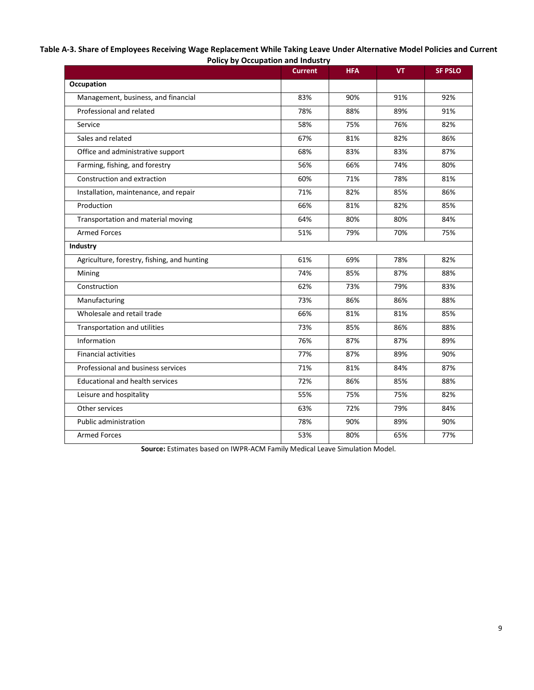| Table A-3. Share of Employees Receiving Wage Replacement While Taking Leave Under Alternative Model Policies and Current |
|--------------------------------------------------------------------------------------------------------------------------|
| <b>Policy by Occupation and Industry</b>                                                                                 |

|                                             | <b>Current</b> | <b>HFA</b> | <b>VT</b> | <b>SF PSLO</b> |
|---------------------------------------------|----------------|------------|-----------|----------------|
| Occupation                                  |                |            |           |                |
| Management, business, and financial         | 83%            | 90%        | 91%       | 92%            |
| Professional and related                    | 78%            | 88%        | 89%       | 91%            |
| Service                                     | 58%            | 75%        | 76%       | 82%            |
| Sales and related                           | 67%            | 81%        | 82%       | 86%            |
| Office and administrative support           | 68%            | 83%        | 83%       | 87%            |
| Farming, fishing, and forestry              | 56%            | 66%        | 74%       | 80%            |
| Construction and extraction                 | 60%            | 71%        | 78%       | 81%            |
| Installation, maintenance, and repair       | 71%            | 82%        | 85%       | 86%            |
| Production                                  | 66%            | 81%        | 82%       | 85%            |
| Transportation and material moving          | 64%            | 80%        | 80%       | 84%            |
| <b>Armed Forces</b>                         | 51%            | 79%        | 70%       | 75%            |
| Industry                                    |                |            |           |                |
| Agriculture, forestry, fishing, and hunting | 61%            | 69%        | 78%       | 82%            |
| Mining                                      | 74%            | 85%        | 87%       | 88%            |
| Construction                                | 62%            | 73%        | 79%       | 83%            |
| Manufacturing                               | 73%            | 86%        | 86%       | 88%            |
| Wholesale and retail trade                  | 66%            | 81%        | 81%       | 85%            |
| Transportation and utilities                | 73%            | 85%        | 86%       | 88%            |
| Information                                 | 76%            | 87%        | 87%       | 89%            |
| <b>Financial activities</b>                 | 77%            | 87%        | 89%       | 90%            |
| Professional and business services          | 71%            | 81%        | 84%       | 87%            |
| <b>Educational and health services</b>      | 72%            | 86%        | 85%       | 88%            |
| Leisure and hospitality                     | 55%            | 75%        | 75%       | 82%            |
| Other services                              | 63%            | 72%        | 79%       | 84%            |
| <b>Public administration</b>                | 78%            | 90%        | 89%       | 90%            |
| <b>Armed Forces</b>                         | 53%            | 80%        | 65%       | 77%            |

**Source:** Estimates based on IWPR-ACM Family Medical Leave Simulation Model.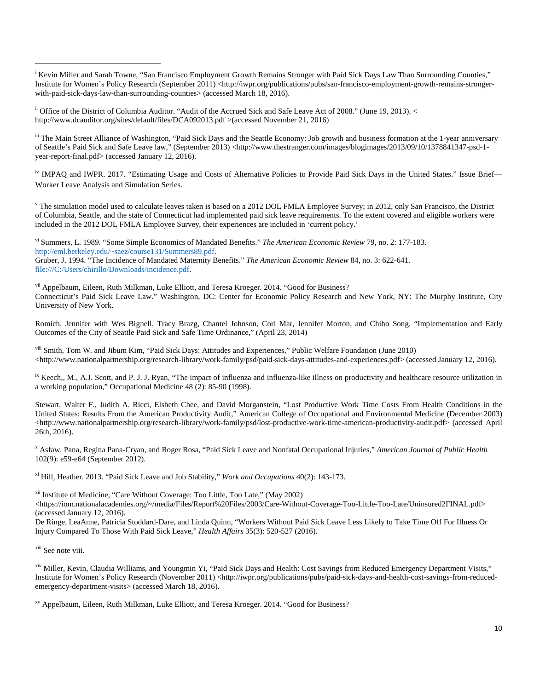<sup>i</sup> Kevin Miller and Sarah Towne, "San Francisco Employment Growth Remains Stronger with Paid Sick Days Law Than Surrounding Counties," Institute for Women's Policy Research (September 2011) <http://iwpr.org/publications/pubs/san-francisco-employment-growth-remains-strongerwith-paid-sick-days-law-than-surrounding-counties> (accessed March 18, 2016).

<sup>ii</sup> Office of the District of Columbia Auditor. "Audit of the Accrued Sick and Safe Leave Act of 2008." (June 19, 2013). < http://www.dcauditor.org/sites/default/files/DCA092013.pdf >(accessed November 21, 2016)

III The Main Street Alliance of Washington, "Paid Sick Days and the Seattle Economy: Job growth and business formation at the 1-year anniversary of Seattle's Paid Sick and Safe Leave law," (September 2013) <http://www.thestranger.com/images/blogimages/2013/09/10/1378841347-psd-1 year-report-final.pdf> (accessed January 12, 2016).

<sup>iv</sup> IMPAQ and IWPR. 2017. "Estimating Usage and Costs of Alternative Policies to Provide Paid Sick Days in the United States." Issue Brief— Worker Leave Analysis and Simulation Series.

 $\gamma$  The simulation model used to calculate leaves taken is based on a 2012 DOL FMLA Employee Survey; in 2012, only San Francisco, the District of Columbia, Seattle, and the state of Connecticut had implemented paid sick leave requirements. To the extent covered and eligible workers were included in the 2012 DOL FMLA Employee Survey, their experiences are included in 'current policy.'

vi Summers, L. 1989. "Some Simple Economics of Mandated Benefits." *The American Economic Review* 79, no. 2: 177-183. [http://eml.berkeley.edu/~saez/course131/Summers89.pdf.](http://eml.berkeley.edu/%7Esaez/course131/Summers89.pdf) Gruber, J. 1994. "The Incidence of Mandated Maternity Benefits." *The American Economic Review* 84, no. 3: 622-641. file:///C:/Users/chirillo/Downloads/incidence.pdf.

<sup>vii</sup> Appelbaum, Eileen, Ruth Milkman, Luke Elliott, and Teresa Kroeger. 2014. "Good for Business? Connecticut's Paid Sick Leave Law." Washington, DC: Center for Economic Policy Research and New York, NY: The Murphy Institute, City University of New York.

Romich, Jennifer with Wes Bignell, Tracy Brazg, Chantel Johnson, Cori Mar, Jennifer Morton, and Chiho Song, "Implementation and Early Outcomes of the City of Seattle Paid Sick and Safe Time Ordinance," (April 23, 2014)

viii Smith, Tom W. and Jibum Kim, "Paid Sick Days: Attitudes and Experiences*,*" Public Welfare Foundation (June 2010) <http://www.nationalpartnership.org/research-library/work-family/psd/paid-sick-days-attitudes-and-experiences.pdf> (accessed January 12, 2016).

<sup>ix</sup> Keech,, M., A.J. Scott, and P. J. J. Ryan, "The impact of influenza and influenza-like illness on productivity and healthcare resource utilization in a working population," Occupational Medicine 48 (2): 85-90 (1998).

Stewart, Walter F., Judith A. Ricci, Elsbeth Chee, and David Morganstein, "Lost Productive Work Time Costs From Health Conditions in the United States: Results From the American Productivity Audit," American College of Occupational and Environmental Medicine (December 2003) <http://www.nationalpartnership.org/research-library/work-family/psd/lost-productive-work-time-american-productivity-audit.pdf> (accessed April 26th, 2016).

<sup>x</sup> Asfaw, Pana, Regina Pana-Cryan, and Roger Rosa, "Paid Sick Leave and Nonfatal Occupational Injuries," *American Journal of Public Health* 102(9): e59-e64 (September 2012).

xi Hill, Heather. 2013. "Paid Sick Leave and Job Stability," *Work and Occupations* 40(2): 143-173.

xii Institute of Medicine, "Care Without Coverage: Too Little, Too Late," (May 2002)

<https://iom.nationalacademies.org/~/media/Files/Report%20Files/2003/Care-Without-Coverage-Too-Little-Too-Late/Uninsured2FINAL.pdf> (accessed January 12, 2016).

De Ringe, LeaAnne, Patricia Stoddard-Dare, and Linda Quinn, "Workers Without Paid Sick Leave Less Likely to Take Time Off For Illness Or Injury Compared To Those With Paid Sick Leave," *Health Affairs* 35(3): 520-527 (2016).

<sup>xiii</sup> See note viii.

-

xiv Miller, Kevin, Claudia Williams, and Youngmin Yi, "Paid Sick Days and Health: Cost Savings from Reduced Emergency Department Visits," Institute for Women's Policy Research (November 2011) <http://iwpr.org/publications/pubs/paid-sick-days-and-health-cost-savings-from-reducedemergency-department-visits> (accessed March 18, 2016).

xv Appelbaum, Eileen, Ruth Milkman, Luke Elliott, and Teresa Kroeger. 2014. "Good for Business?